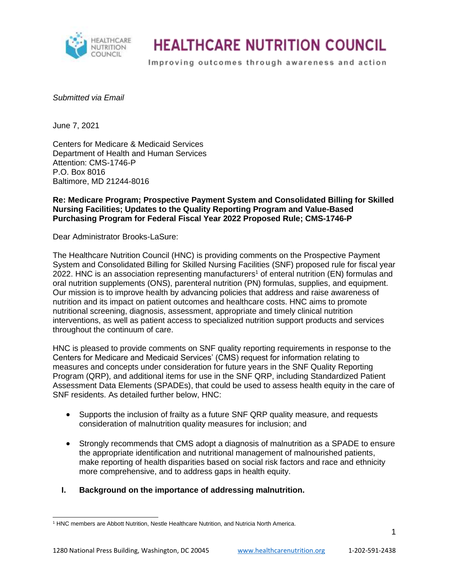

Improving outcomes through awareness and action

#### *Submitted via Email*

June 7, 2021

Centers for Medicare & Medicaid Services Department of Health and Human Services Attention: CMS-1746-P P.O. Box 8016 Baltimore, MD 21244-8016

#### **Re: Medicare Program; Prospective Payment System and Consolidated Billing for Skilled Nursing Facilities; Updates to the Quality Reporting Program and Value-Based Purchasing Program for Federal Fiscal Year 2022 Proposed Rule; CMS-1746-P**

Dear Administrator Brooks-LaSure:

The Healthcare Nutrition Council (HNC) is providing comments on the Prospective Payment System and Consolidated Billing for Skilled Nursing Facilities (SNF) proposed rule for fiscal year 2022. HNC is an association representing manufacturers<sup>1</sup> of enteral nutrition (EN) formulas and oral nutrition supplements (ONS), parenteral nutrition (PN) formulas, supplies, and equipment. Our mission is to improve health by advancing policies that address and raise awareness of nutrition and its impact on patient outcomes and healthcare costs. HNC aims to promote nutritional screening, diagnosis, assessment, appropriate and timely clinical nutrition interventions, as well as patient access to specialized nutrition support products and services throughout the continuum of care.

HNC is pleased to provide comments on SNF quality reporting requirements in response to the Centers for Medicare and Medicaid Services' (CMS) request for information relating to measures and concepts under consideration for future years in the SNF Quality Reporting Program (QRP), and additional items for use in the SNF QRP, including Standardized Patient Assessment Data Elements (SPADEs), that could be used to assess health equity in the care of SNF residents. As detailed further below, HNC:

- Supports the inclusion of frailty as a future SNF QRP quality measure, and requests consideration of malnutrition quality measures for inclusion; and
- Strongly recommends that CMS adopt a diagnosis of malnutrition as a SPADE to ensure the appropriate identification and nutritional management of malnourished patients, make reporting of health disparities based on social risk factors and race and ethnicity more comprehensive, and to address gaps in health equity.

### **I. Background on the importance of addressing malnutrition.**

<sup>1</sup> HNC members are Abbott Nutrition, Nestle Healthcare Nutrition, and Nutricia North America.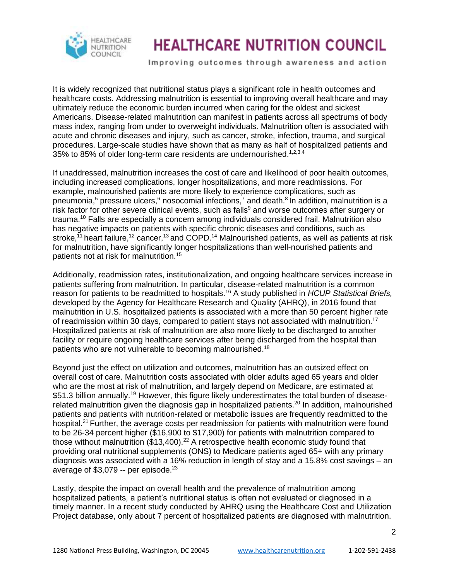

Improving outcomes through awareness and action

It is widely recognized that nutritional status plays a significant role in health outcomes and healthcare costs. Addressing malnutrition is essential to improving overall healthcare and may ultimately reduce the economic burden incurred when caring for the oldest and sickest Americans. Disease-related malnutrition can manifest in patients across all spectrums of body mass index, ranging from under to overweight individuals. Malnutrition often is associated with acute and chronic diseases and injury, such as cancer, stroke, infection, trauma, and surgical procedures. Large-scale studies have shown that as many as half of hospitalized patients and 35% to 85% of older long-term care residents are undernourished.<sup>1,2,3,4</sup>

If unaddressed, malnutrition increases the cost of care and likelihood of poor health outcomes, including increased complications, longer hospitalizations, and more readmissions. For example, malnourished patients are more likely to experience complications, such as pneumonia,<sup>5</sup> pressure ulcers,<sup>6</sup> nosocomial infections,<sup>7</sup> and death.<sup>8</sup> In addition, malnutrition is a risk factor for other severe clinical events, such as falls<sup>9</sup> and worse outcomes after surgery or trauma.<sup>10</sup> Falls are especially a concern among individuals considered frail. Malnutrition also has negative impacts on patients with specific chronic diseases and conditions, such as stroke,<sup>11</sup> heart failure,<sup>12</sup> cancer,<sup>13</sup> and COPD.<sup>14</sup> Malnourished patients, as well as patients at risk for malnutrition, have significantly longer hospitalizations than well-nourished patients and patients not at risk for malnutrition.<sup>15</sup>

Additionally, readmission rates, institutionalization, and ongoing healthcare services increase in patients suffering from malnutrition. In particular, disease-related malnutrition is a common reason for patients to be readmitted to hospitals.<sup>16</sup> A study published in *HCUP Statistical Briefs,*  developed by the Agency for Healthcare Research and Quality (AHRQ), in 2016 found that malnutrition in U.S. hospitalized patients is associated with a more than 50 percent higher rate of readmission within 30 days, compared to patient stays not associated with malnutrition.<sup>17</sup> Hospitalized patients at risk of malnutrition are also more likely to be discharged to another facility or require ongoing healthcare services after being discharged from the hospital than patients who are not vulnerable to becoming malnourished.<sup>18</sup>

Beyond just the effect on utilization and outcomes, malnutrition has an outsized effect on overall cost of care. Malnutrition costs associated with older adults aged 65 years and older who are the most at risk of malnutrition, and largely depend on Medicare, are estimated at \$51.3 billion annually.<sup>19</sup> However, this figure likely underestimates the total burden of diseaserelated malnutrition given the diagnosis gap in hospitalized patients.<sup>20</sup> In addition, malnourished patients and patients with nutrition-related or metabolic issues are frequently readmitted to the hospital.<sup>21</sup> Further, the average costs per readmission for patients with malnutrition were found to be 26-34 percent higher (\$16,900 to \$17,900) for patients with malnutrition compared to those without malnutrition  $(\$13,400).^{22}$  A retrospective health economic study found that providing oral nutritional supplements (ONS) to Medicare patients aged 65+ with any primary diagnosis was associated with a 16% reduction in length of stay and a 15.8% cost savings – an average of  $$3.079 -$  per episode.<sup>23</sup>

Lastly, despite the impact on overall health and the prevalence of malnutrition among hospitalized patients, a patient's nutritional status is often not evaluated or diagnosed in a timely manner. In a recent study conducted by AHRQ using the Healthcare Cost and Utilization Project database, only about 7 percent of hospitalized patients are diagnosed with malnutrition.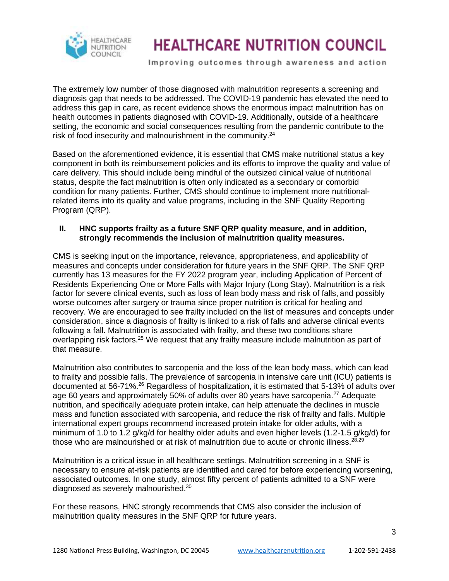

Improving outcomes through awareness and action

The extremely low number of those diagnosed with malnutrition represents a screening and diagnosis gap that needs to be addressed. The COVID-19 pandemic has elevated the need to address this gap in care, as recent evidence shows the enormous impact malnutrition has on health outcomes in patients diagnosed with COVID-19. Additionally, outside of a healthcare setting, the economic and social consequences resulting from the pandemic contribute to the risk of food insecurity and malnourishment in the community.<sup>24</sup>

Based on the aforementioned evidence, it is essential that CMS make nutritional status a key component in both its reimbursement policies and its efforts to improve the quality and value of care delivery. This should include being mindful of the outsized clinical value of nutritional status, despite the fact malnutrition is often only indicated as a secondary or comorbid condition for many patients. Further, CMS should continue to implement more nutritionalrelated items into its quality and value programs, including in the SNF Quality Reporting Program (QRP).

### **II. HNC supports frailty as a future SNF QRP quality measure, and in addition, strongly recommends the inclusion of malnutrition quality measures.**

CMS is seeking input on the importance, relevance, appropriateness, and applicability of measures and concepts under consideration for future years in the SNF QRP. The SNF QRP currently has 13 measures for the FY 2022 program year, including Application of Percent of Residents Experiencing One or More Falls with Major Injury (Long Stay). Malnutrition is a risk factor for severe clinical events, such as loss of lean body mass and risk of falls, and possibly worse outcomes after surgery or trauma since proper nutrition is critical for healing and recovery. We are encouraged to see frailty included on the list of measures and concepts under consideration, since a diagnosis of frailty is linked to a risk of falls and adverse clinical events following a fall. Malnutrition is associated with frailty, and these two conditions share overlapping risk factors.<sup>25</sup> We request that any frailty measure include malnutrition as part of that measure.

Malnutrition also contributes to sarcopenia and the loss of the lean body mass, which can lead to frailty and possible falls. The prevalence of sarcopenia in intensive care unit (ICU) patients is documented at 56-71%.<sup>26</sup> Regardless of hospitalization, it is estimated that 5-13% of adults over age 60 years and approximately 50% of adults over 80 years have sarcopenia.<sup>27</sup> Adequate nutrition, and specifically adequate protein intake, can help attenuate the declines in muscle mass and function associated with sarcopenia, and reduce the risk of frailty and falls. Multiple international expert groups recommend increased protein intake for older adults, with a minimum of 1.0 to 1.2 g/kg/d for healthy older adults and even higher levels (1.2-1.5 g/kg/d) for those who are malnourished or at risk of malnutrition due to acute or chronic illness.  $^{28,29}$ 

Malnutrition is a critical issue in all healthcare settings. Malnutrition screening in a SNF is necessary to ensure at-risk patients are identified and cared for before experiencing worsening, associated outcomes. In one study, almost fifty percent of patients admitted to a SNF were diagnosed as severely malnourished.<sup>30</sup>

For these reasons, HNC strongly recommends that CMS also consider the inclusion of malnutrition quality measures in the SNF QRP for future years.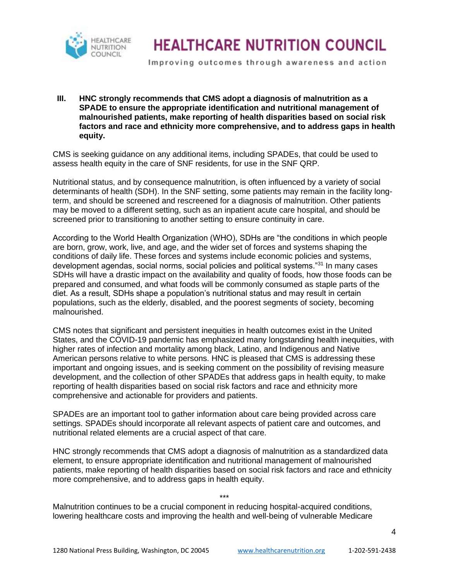

Improving outcomes through awareness and action

**III. HNC strongly recommends that CMS adopt a diagnosis of malnutrition as a SPADE to ensure the appropriate identification and nutritional management of malnourished patients, make reporting of health disparities based on social risk factors and race and ethnicity more comprehensive, and to address gaps in health equity.**

CMS is seeking guidance on any additional items, including SPADEs, that could be used to assess health equity in the care of SNF residents, for use in the SNF QRP.

Nutritional status, and by consequence malnutrition, is often influenced by a variety of social determinants of health (SDH). In the SNF setting, some patients may remain in the facility longterm, and should be screened and rescreened for a diagnosis of malnutrition. Other patients may be moved to a different setting, such as an inpatient acute care hospital, and should be screened prior to transitioning to another setting to ensure continuity in care.

According to the World Health Organization (WHO), SDHs are "the conditions in which people are born, grow, work, live, and age, and the wider set of forces and systems shaping the conditions of daily life. These forces and systems include economic policies and systems, development agendas, social norms, social policies and political systems."<sup>31</sup> In many cases SDHs will have a drastic impact on the availability and quality of foods, how those foods can be prepared and consumed, and what foods will be commonly consumed as staple parts of the diet. As a result, SDHs shape a population's nutritional status and may result in certain populations, such as the elderly, disabled, and the poorest segments of society, becoming malnourished.

CMS notes that significant and persistent inequities in health outcomes exist in the United States, and the COVID-19 pandemic has emphasized many longstanding health inequities, with higher rates of infection and mortality among black, Latino, and Indigenous and Native American persons relative to white persons. HNC is pleased that CMS is addressing these important and ongoing issues, and is seeking comment on the possibility of revising measure development, and the collection of other SPADEs that address gaps in health equity, to make reporting of health disparities based on social risk factors and race and ethnicity more comprehensive and actionable for providers and patients.

SPADEs are an important tool to gather information about care being provided across care settings. SPADEs should incorporate all relevant aspects of patient care and outcomes, and nutritional related elements are a crucial aspect of that care.

HNC strongly recommends that CMS adopt a diagnosis of malnutrition as a standardized data element, to ensure appropriate identification and nutritional management of malnourished patients, make reporting of health disparities based on social risk factors and race and ethnicity more comprehensive, and to address gaps in health equity.

\*\*\* Malnutrition continues to be a crucial component in reducing hospital-acquired conditions, lowering healthcare costs and improving the health and well-being of vulnerable Medicare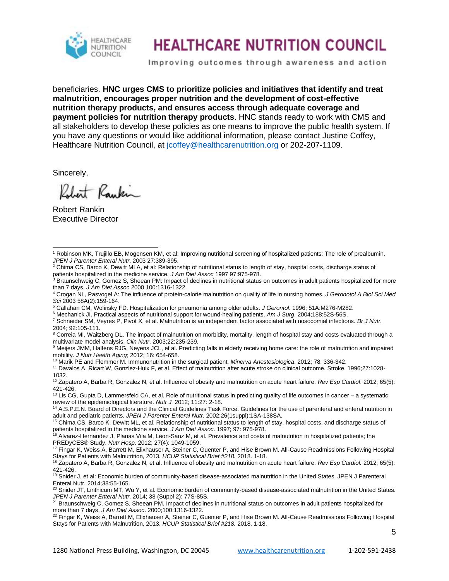

Improving outcomes through awareness and action

beneficiaries. **HNC urges CMS to prioritize policies and initiatives that identify and treat malnutrition, encourages proper nutrition and the development of cost-effective nutrition therapy products, and ensures access through adequate coverage and payment policies for nutrition therapy products**. HNC stands ready to work with CMS and all stakeholders to develop these policies as one means to improve the public health system. If you have any questions or would like additional information, please contact Justine Coffey, Healthcare Nutrition Council, at [jcoffey@healthcarenutrition.org](mailto:jcoffey@healthcarenutrition.org) or 202-207-1109.

Sincerely,

Robert Raukin

Robert Rankin Executive Director

<sup>6</sup> Mechanick JI. Practical aspects of nutritional support for wound-healing patients. *Am J Surg*. 2004;188:52S-56S.

<sup>10</sup> Marik PE and Flemmer M. Immunonutrition in the surgical patient. *Minerva Anestesiologica*. 2012; 78: 336-342.

<sup>16</sup> Alvarez-Hernandez J, Planas Vila M, Leon-Sanz M, et al. Prevalence and costs of malnutrition in hospitalized patients; the PREDyCES® Study. *Nutr Hosp*. 2012; 27(4): 1049-1059.

<sup>17</sup> Fingar K, Weiss A, Barrett M, Elixhauser A, Steiner C, Guenter P, and Hise Brown M. All-Cause Readmissions Following Hospital Stays for Patients with Malnutrition, 2013. *HCUP Statistical Brief #218.* 2018. 1-18.

<sup>18</sup> Zapatero A, Barba R, Gonzalez N, et al. Influence of obesity and malnutrition on acute heart failure. *Rev Esp Cardiol.* 2012; 65(5): 421-426.

<sup>19</sup> Snider J, et al: Economic burden of community-based disease-associated malnutrition in the United States. JPEN J Parenteral Enteral Nutr. 2014;38:55-165.

5

<sup>1</sup> Robinson MK, Trujillo EB, Mogensen KM, et al: Improving nutritional screening of hospitalized patients: The role of prealbumin. *JPEN J Parenter Enteral Nutr*. 2003 27:389-395.

<sup>&</sup>lt;sup>2</sup> Chima CS, Barco K, Dewitt MLA, et al: Relationship of nutritional status to length of stay, hospital costs, discharge status of patients hospitalized in the medicine service*. J Am Diet Assoc* 1997 97:975-978.

<sup>&</sup>lt;sup>3</sup> Braunschweig C, Gomez S, Sheean PM: Impact of declines in nutritional status on outcomes in adult patients hospitalized for more than 7 days. *J Am Diet Assoc* 2000 100:1316-1322.

<sup>4</sup> Crogan NL, Pasvogel A: The influence of protein-calorie malnutrition on quality of life in nursing homes*. J Geronotol A Biol Sci Med Sci* 2003 58A(2):159-164.

<sup>5</sup> Callahan CM, Wolinsky FD. Hospitalization for pneumonia among older adults. *J Gerontol*. 1996; 51A:M276-M282.

<sup>7</sup> Schneider SM, Veyres P, Pivot X, et al. Malnutrition is an independent factor associated with nosocomial infections. *Br J Nutr.* 

<sup>2004; 92:105-111.</sup>

<sup>&</sup>lt;sup>8</sup> Correia MI, Waitzberg DL. The impact of malnutrition on morbidity, mortality, length of hospital stay and costs evaluated through a multivariate model analysis. *Clin Nutr*. 2003;22:235-239.

<sup>&</sup>lt;sup>9</sup> Meijers JMM, Halfens RJG, Neyens JCL, et al. Predicting falls in elderly receiving home care: the role of malnutrition and impaired mobility. *J Nutr Health Aging*; 2012; 16: 654-658.

<sup>11</sup> Davalos A, Ricart W, Gonzlez-Huix F, et al. Effect of malnutrition after acute stroke on clinical outcome. Stroke. 1996;27:1028- 1032.

<sup>12</sup> Zapatero A, Barba R, Gonzalez N, et al. Influence of obesity and malnutrition on acute heart failure. *Rev Esp Cardiol*. 2012; 65(5): 421-426.

 $13$  Lis CG, Gupta D, Lammersfeld CA, et al. Role of nutritional status in predicting quality of life outcomes in cancer  $-$  a systematic review of the epidemiological literature. *Nutr J.* 2012; 11:27: 2-18.

<sup>14</sup> A.S.P.E.N. Board of Directors and the Clinical Guidelines Task Force. Guidelines for the use of parenteral and enteral nutrition in adult and pediatric patients. *JPEN J Parenter Enteral Nutr*. 2002;26(1suppl):1SA-138SA.

<sup>&</sup>lt;sup>15</sup> Chima CS, Barco K, Dewitt ML, et al. Relationship of nutritional status to length of stay, hospital costs, and discharge status of patients hospitalized in the medicine service. *J Am Diet Assoc*. 1997; 97: 975-978.

 $20$  Snider JT, Linthicum MT, Wu Y, et al. Economic burden of community-based disease-associated malnutrition in the United States. *JPEN J Parenter Enteral Nutr*. 2014; 38 (Suppl 2): 77S-85S.

<sup>&</sup>lt;sup>21</sup> Braunschweig C, Gomez S, Sheean PM. Impact of declines in nutritional status on outcomes in adult patients hospitalized for more than 7 days. *J Am Diet Assoc*. 2000;100:1316-1322.

<sup>&</sup>lt;sup>22</sup> Fingar K, Weiss A, Barrett M, Elixhauser A, Steiner C, Guenter P, and Hise Brown M. All-Cause Readmissions Following Hospital Stays for Patients with Malnutrition, 2013. *HCUP Statistical Brief #218.* 2018. 1-18.